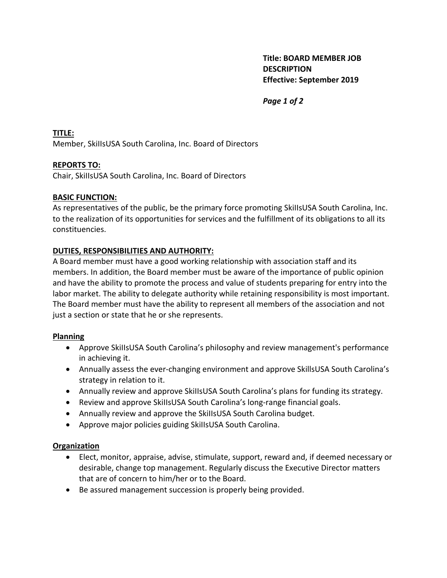**Title: BOARD MEMBER JOB DESCRIPTION Effective: September 2019**

*Page 1 of 2*

**TITLE:**  Member, SkiIIsUSA South Carolina, Inc. Board of Directors

### **REPORTS TO:**

Chair, SkiIIsUSA South Carolina, Inc. Board of Directors

### **BASIC FUNCTION:**

As representatives of the public, be the primary force promoting SkiIIsUSA South Carolina, Inc. to the realization of its opportunities for services and the fulfillment of its obligations to all its constituencies.

# **DUTIES, RESPONSIBILITIES AND AUTHORITY:**

A Board member must have a good working relationship with association staff and its members. In addition, the Board member must be aware of the importance of public opinion and have the ability to promote the process and value of students preparing for entry into the labor market. The ability to delegate authority while retaining responsibility is most important. The Board member must have the ability to represent all members of the association and not just a section or state that he or she represents.

#### **Planning**

- Approve SkiIIsUSA South Carolina's philosophy and review management's performance in achieving it.
- Annually assess the ever-changing environment and approve SkillsUSA South Carolina's strategy in relation to it.
- Annually review and approve SkiIIsUSA South Carolina's plans for funding its strategy.
- Review and approve SkiIIsUSA South Carolina's long-range financial goals.
- Annually review and approve the SkiIIsUSA South Carolina budget.
- Approve major policies guiding SkiIIsUSA South Carolina.

#### **Organization**

- Elect, monitor, appraise, advise, stimulate, support, reward and, if deemed necessary or desirable, change top management. Regularly discuss the Executive Director matters that are of concern to him/her or to the Board.
- Be assured management succession is properly being provided.